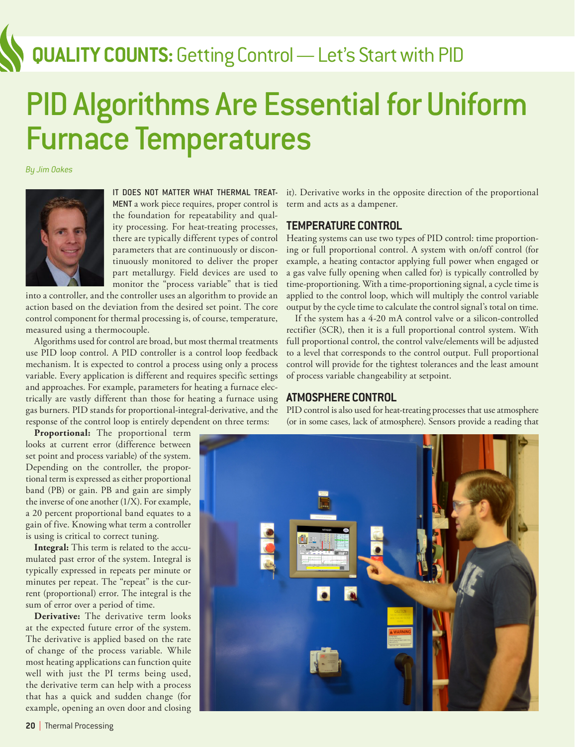## **QUALITY COUNTS:** Getting Control — Let's Start with PID

# PID Algorithms Are Essential for Uniform Furnace Temperatures

*By Jim Oakes*



IT DOES NOT MATTER WHAT THERMAL TREAT-MENT a work piece requires, proper control is the foundation for repeatability and quality processing. For heat-treating processes, there are typically different types of control parameters that are continuously or discontinuously monitored to deliver the proper part metallurgy. Field devices are used to monitor the "process variable" that is tied

into a controller, and the controller uses an algorithm to provide an action based on the deviation from the desired set point. The core control component for thermal processing is, of course, temperature, measured using a thermocouple.

Algorithms used for control are broad, but most thermal treatments use PID loop control. A PID controller is a control loop feedback mechanism. It is expected to control a process using only a process variable. Every application is different and requires specific settings and approaches. For example, parameters for heating a furnace electrically are vastly different than those for heating a furnace using gas burners. PID stands for proportional-integral-derivative, and the response of the control loop is entirely dependent on three terms:

**Proportional:** The proportional term looks at current error (difference between set point and process variable) of the system. Depending on the controller, the proportional term is expressed as either proportional band (PB) or gain. PB and gain are simply the inverse of one another (1/X). For example, a 20 percent proportional band equates to a gain of five. Knowing what term a controller is using is critical to correct tuning.

**Integral:** This term is related to the accumulated past error of the system. Integral is typically expressed in repeats per minute or minutes per repeat. The "repeat" is the current (proportional) error. The integral is the sum of error over a period of time.

**Derivative:** The derivative term looks at the expected future error of the system. The derivative is applied based on the rate of change of the process variable. While most heating applications can function quite well with just the PI terms being used, the derivative term can help with a process that has a quick and sudden change (for example, opening an oven door and closing it). Derivative works in the opposite direction of the proportional term and acts as a dampener.

### **TEMPERATURE CONTROL**

Heating systems can use two types of PID control: time proportioning or full proportional control. A system with on/off control (for example, a heating contactor applying full power when engaged or a gas valve fully opening when called for) is typically controlled by time-proportioning. With a time-proportioning signal, a cycle time is applied to the control loop, which will multiply the control variable output by the cycle time to calculate the control signal's total on time.

If the system has a 4-20 mA control valve or a silicon-controlled rectifier (SCR), then it is a full proportional control system. With full proportional control, the control valve/elements will be adjusted to a level that corresponds to the control output. Full proportional control will provide for the tightest tolerances and the least amount of process variable changeability at setpoint.

### **ATMOSPHERE CONTROL**

PID control is also used for heat-treating processes that use atmosphere (or in some cases, lack of atmosphere). Sensors provide a reading that